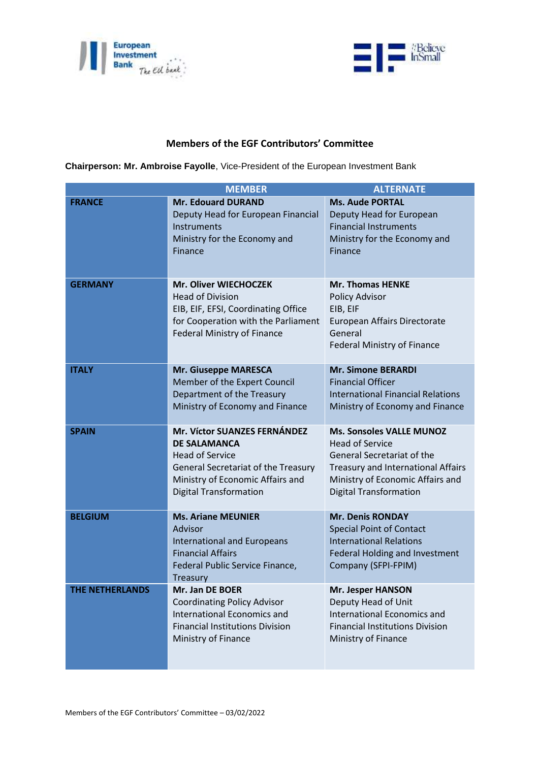



## **Members of the EGF Contributors' Committee**

**Chairperson: Mr. Ambroise Fayolle**, Vice-President of the European Investment Bank

| <b>MEMBER</b>   |                                                                                                                                                                                                  | <b>ALTERNATE</b>                                                                                                                                                                                   |
|-----------------|--------------------------------------------------------------------------------------------------------------------------------------------------------------------------------------------------|----------------------------------------------------------------------------------------------------------------------------------------------------------------------------------------------------|
| <b>FRANCE</b>   | <b>Mr. Edouard DURAND</b><br>Deputy Head for European Financial<br>Instruments<br>Ministry for the Economy and<br>Finance                                                                        | <b>Ms. Aude PORTAL</b><br>Deputy Head for European<br><b>Financial Instruments</b><br>Ministry for the Economy and<br>Finance                                                                      |
| <b>GERMANY</b>  | Mr. Oliver WIECHOCZEK<br><b>Head of Division</b><br>EIB, EIF, EFSI, Coordinating Office<br>for Cooperation with the Parliament<br><b>Federal Ministry of Finance</b>                             | <b>Mr. Thomas HENKE</b><br>Policy Advisor<br>EIB, EIF<br>European Affairs Directorate<br>General<br><b>Federal Ministry of Finance</b>                                                             |
| <b>ITALY</b>    | <b>Mr. Giuseppe MARESCA</b><br>Member of the Expert Council<br>Department of the Treasury<br>Ministry of Economy and Finance                                                                     | <b>Mr. Simone BERARDI</b><br><b>Financial Officer</b><br><b>International Financial Relations</b><br>Ministry of Economy and Finance                                                               |
| <b>SPAIN</b>    | <b>Mr. Víctor SUANZES FERNÁNDEZ</b><br><b>DE SALAMANCA</b><br><b>Head of Service</b><br>General Secretariat of the Treasury<br>Ministry of Economic Affairs and<br><b>Digital Transformation</b> | <b>Ms. Sonsoles VALLE MUNOZ</b><br><b>Head of Service</b><br>General Secretariat of the<br>Treasury and International Affairs<br>Ministry of Economic Affairs and<br><b>Digital Transformation</b> |
| <b>BELGIUM</b>  | <b>Ms. Ariane MEUNIER</b><br>Advisor<br><b>International and Europeans</b><br><b>Financial Affairs</b><br>Federal Public Service Finance,<br>Treasury                                            | <b>Mr. Denis RONDAY</b><br><b>Special Point of Contact</b><br><b>International Relations</b><br>Federal Holding and Investment<br>Company (SFPI-FPIM)                                              |
| THE NETHERLANDS | <b>Mr. Jan DE BOER</b><br><b>Coordinating Policy Advisor</b><br><b>International Economics and</b><br><b>Financial Institutions Division</b><br>Ministry of Finance                              | <b>Mr. Jesper HANSON</b><br>Deputy Head of Unit<br><b>International Economics and</b><br><b>Financial Institutions Division</b><br>Ministry of Finance                                             |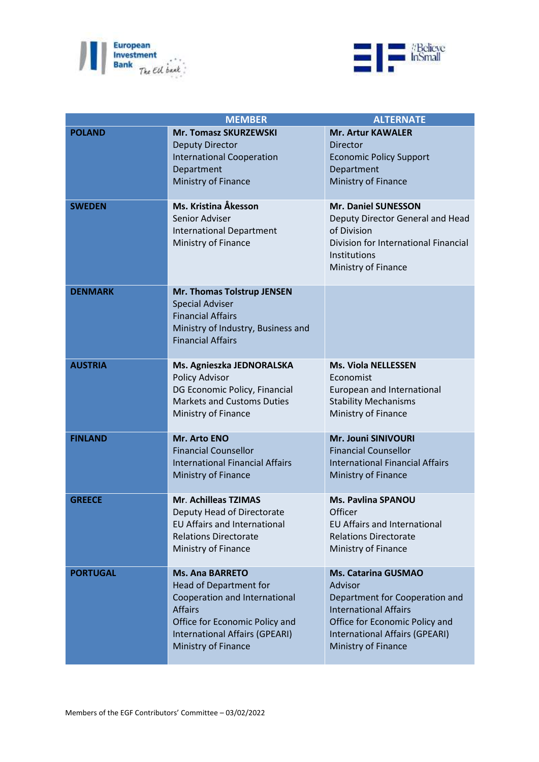



|                 | <b>MEMBER</b>                                                                                                                                                                                         | <b>ALTERNATE</b>                                                                                                                                                                                   |
|-----------------|-------------------------------------------------------------------------------------------------------------------------------------------------------------------------------------------------------|----------------------------------------------------------------------------------------------------------------------------------------------------------------------------------------------------|
| <b>POLAND</b>   | <b>Mr. Tomasz SKURZEWSKI</b><br><b>Deputy Director</b><br><b>International Cooperation</b><br>Department<br>Ministry of Finance                                                                       | <b>Mr. Artur KAWALER</b><br><b>Director</b><br><b>Economic Policy Support</b><br>Department<br>Ministry of Finance                                                                                 |
| <b>SWEDEN</b>   | Ms. Kristina Åkesson<br>Senior Adviser<br><b>International Department</b><br>Ministry of Finance                                                                                                      | Mr. Daniel SUNESSON<br>Deputy Director General and Head<br>of Division<br>Division for International Financial<br>Institutions<br>Ministry of Finance                                              |
| <b>DENMARK</b>  | Mr. Thomas Tolstrup JENSEN<br><b>Special Adviser</b><br><b>Financial Affairs</b><br>Ministry of Industry, Business and<br><b>Financial Affairs</b>                                                    |                                                                                                                                                                                                    |
| <b>AUSTRIA</b>  | Ms. Agnieszka JEDNORALSKA<br>Policy Advisor<br>DG Economic Policy, Financial<br><b>Markets and Customs Duties</b><br>Ministry of Finance                                                              | <b>Ms. Viola NELLESSEN</b><br>Economist<br>European and International<br><b>Stability Mechanisms</b><br>Ministry of Finance                                                                        |
| <b>FINLAND</b>  | Mr. Arto ENO<br><b>Financial Counsellor</b><br><b>International Financial Affairs</b><br>Ministry of Finance                                                                                          | Mr. Jouni SINIVOURI<br><b>Financial Counsellor</b><br><b>International Financial Affairs</b><br>Ministry of Finance                                                                                |
| <b>GREECE</b>   | Mr. Achilleas TZIMAS<br>Deputy Head of Directorate<br><b>EU Affairs and International</b><br><b>Relations Directorate</b><br>Ministry of Finance                                                      | <b>Ms. Pavlina SPANOU</b><br>Officer<br><b>EU Affairs and International</b><br><b>Relations Directorate</b><br>Ministry of Finance                                                                 |
| <b>PORTUGAL</b> | <b>Ms. Ana BARRETO</b><br><b>Head of Department for</b><br>Cooperation and International<br><b>Affairs</b><br>Office for Economic Policy and<br>International Affairs (GPEARI)<br>Ministry of Finance | <b>Ms. Catarina GUSMAO</b><br>Advisor<br>Department for Cooperation and<br><b>International Affairs</b><br>Office for Economic Policy and<br>International Affairs (GPEARI)<br>Ministry of Finance |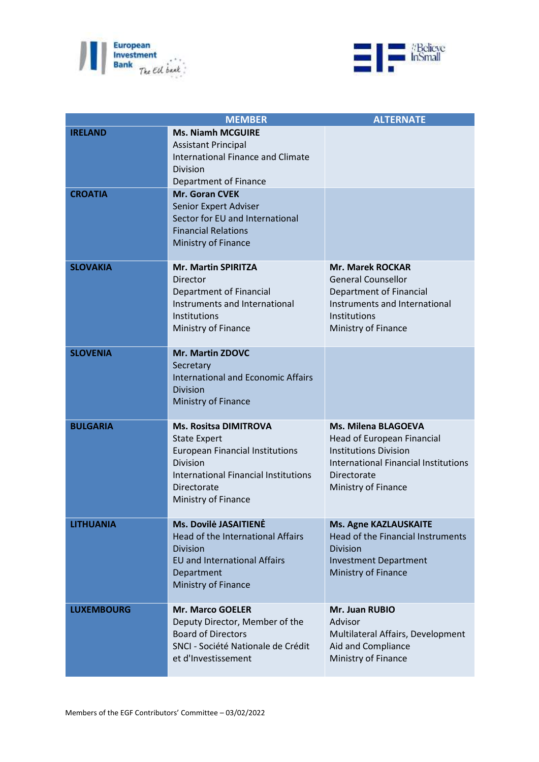



| <b>MEMBER</b>     |                                             | <b>ALTERNATE</b>                            |
|-------------------|---------------------------------------------|---------------------------------------------|
| <b>IRELAND</b>    | <b>Ms. Niamh MCGUIRE</b>                    |                                             |
|                   | <b>Assistant Principal</b>                  |                                             |
|                   | <b>International Finance and Climate</b>    |                                             |
|                   | <b>Division</b>                             |                                             |
|                   | Department of Finance                       |                                             |
| <b>CROATIA</b>    | Mr. Goran CVEK                              |                                             |
|                   | Senior Expert Adviser                       |                                             |
|                   | Sector for EU and International             |                                             |
|                   | <b>Financial Relations</b>                  |                                             |
|                   | Ministry of Finance                         |                                             |
| <b>SLOVAKIA</b>   | <b>Mr. Martin SPIRITZA</b>                  | <b>Mr. Marek ROCKAR</b>                     |
|                   | Director                                    | <b>General Counsellor</b>                   |
|                   | Department of Financial                     | Department of Financial                     |
|                   | Instruments and International               | Instruments and International               |
|                   | Institutions                                | Institutions                                |
|                   | Ministry of Finance                         | Ministry of Finance                         |
|                   |                                             |                                             |
| <b>SLOVENIA</b>   | Mr. Martin ZDOVC                            |                                             |
|                   | Secretary                                   |                                             |
|                   | <b>International and Economic Affairs</b>   |                                             |
|                   | <b>Division</b>                             |                                             |
|                   | Ministry of Finance                         |                                             |
| <b>BULGARIA</b>   | <b>Ms. Rositsa DIMITROVA</b>                | <b>Ms. Milena BLAGOEVA</b>                  |
|                   | <b>State Expert</b>                         | Head of European Financial                  |
|                   | <b>European Financial Institutions</b>      | <b>Institutions Division</b>                |
|                   | <b>Division</b>                             | <b>International Financial Institutions</b> |
|                   | <b>International Financial Institutions</b> | Directorate                                 |
|                   | Directorate                                 | Ministry of Finance                         |
|                   | Ministry of Finance                         |                                             |
| <b>LITHUANIA</b>  | Ms. Dovilė JASAITIENĖ                       | <b>Ms. Agne KAZLAUSKAITE</b>                |
|                   | <b>Head of the International Affairs</b>    | Head of the Financial Instruments           |
|                   | <b>Division</b>                             | <b>Division</b>                             |
|                   | <b>EU</b> and International Affairs         | <b>Investment Department</b>                |
|                   | Department                                  | Ministry of Finance                         |
|                   | Ministry of Finance                         |                                             |
|                   |                                             |                                             |
| <b>LUXEMBOURG</b> | <b>Mr. Marco GOELER</b>                     | Mr. Juan RUBIO                              |
|                   | Deputy Director, Member of the              | Advisor                                     |
|                   | <b>Board of Directors</b>                   | Multilateral Affairs, Development           |
|                   | SNCI - Société Nationale de Crédit          | Aid and Compliance                          |
|                   | et d'Investissement                         | Ministry of Finance                         |